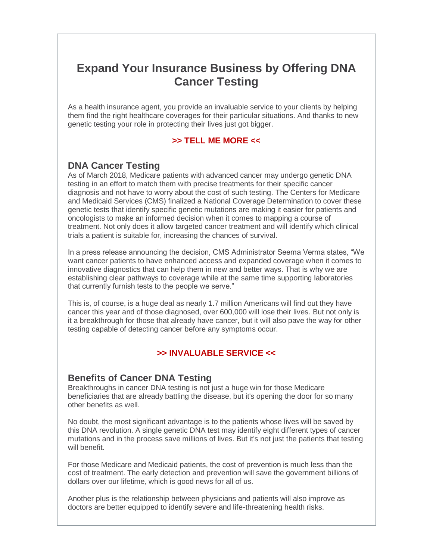# **Expand Your Insurance Business by Offering DNA Cancer Testing**

As a health insurance agent, you provide an invaluable service to your clients by helping them find the right healthcare coverages for their particular situations. And thanks to new genetic testing your role in protecting their lives just got bigger.

#### **>> TELL ME MORE <<**

## **DNA Cancer Testing**

As of March 2018, Medicare patients with advanced cancer may undergo genetic DNA testing in an effort to match them with precise treatments for their specific cancer diagnosis and not have to worry about the cost of such testing. The Centers for Medicare and Medicaid Services (CMS) finalized a National Coverage Determination to cover these genetic tests that identify specific genetic mutations are making it easier for patients and oncologists to make an informed decision when it comes to mapping a course of treatment. Not only does it allow targeted cancer treatment and will identify which clinical trials a patient is suitable for, increasing the chances of survival.

In a press release announcing the decision, CMS Administrator Seema Verma states, "We want cancer patients to have enhanced access and expanded coverage when it comes to innovative diagnostics that can help them in new and better ways. That is why we are establishing clear pathways to coverage while at the same time supporting laboratories that currently furnish tests to the people we serve."

This is, of course, is a huge deal as nearly 1.7 million Americans will find out they have cancer this year and of those diagnosed, over 600,000 will lose their lives. But not only is it a breakthrough for those that already have cancer, but it will also pave the way for other testing capable of detecting cancer before any symptoms occur.

## **>> INVALUABLE SERVICE <<**

## **Benefits of Cancer DNA Testing**

Breakthroughs in cancer DNA testing is not just a huge win for those Medicare beneficiaries that are already battling the disease, but it's opening the door for so many other benefits as well.

No doubt, the most significant advantage is to the patients whose lives will be saved by this DNA revolution. A single genetic DNA test may identify eight different types of cancer mutations and in the process save millions of lives. But it's not just the patients that testing will benefit.

For those Medicare and Medicaid patients, the cost of prevention is much less than the cost of treatment. The early detection and prevention will save the government billions of dollars over our lifetime, which is good news for all of us.

Another plus is the relationship between physicians and patients will also improve as doctors are better equipped to identify severe and life-threatening health risks.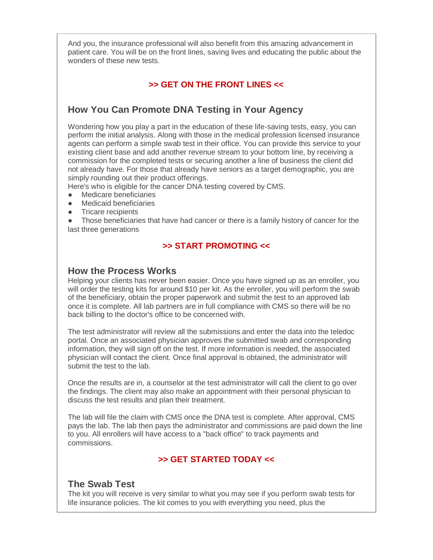And you, the insurance professional will also benefit from this amazing advancement in patient care. You will be on the front lines, saving lives and educating the public about the wonders of these new tests.

#### **>> GET ON THE FRONT LINES <<**

## **How You Can Promote DNA Testing in Your Agency**

Wondering how you play a part in the education of these life-saving tests, easy, you can perform the initial analysis. Along with those in the medical profession licensed insurance agents can perform a simple swab test in their office. You can provide this service to your existing client base and add another revenue stream to your bottom line, by receiving a commission for the completed tests or securing another a line of business the client did not already have. For those that already have seniors as a target demographic, you are simply rounding out their product offerings.

Here's who is eligible for the cancer DNA testing covered by CMS.

- Medicare beneficiaries
- Medicaid beneficiaries
- Tricare recipients

Those beneficiaries that have had cancer or there is a family history of cancer for the last three generations

#### **>> START PROMOTING <<**

#### **How the Process Works**

Helping your clients has never been easier. Once you have signed up as an enroller, you will order the testing kits for around \$10 per kit. As the enroller, you will perform the swab of the beneficiary, obtain the proper paperwork and submit the test to an approved lab once it is complete. All lab partners are in full compliance with CMS so there will be no back billing to the doctor's office to be concerned with.

The test administrator will review all the submissions and enter the data into the teledoc portal. Once an associated physician approves the submitted swab and corresponding information, they will sign off on the test. If more information is needed, the associated physician will contact the client. Once final approval is obtained, the administrator will submit the test to the lab.

Once the results are in, a counselor at the test administrator will call the client to go over the findings. The client may also make an appointment with their personal physician to discuss the test results and plan their treatment.

The lab will file the claim with CMS once the DNA test is complete. After approval, CMS pays the lab. The lab then pays the administrator and commissions are paid down the line to you. All enrollers will have access to a "back office" to track payments and commissions.

#### **>> GET STARTED TODAY <<**

#### **The Swab Test**

The kit you will receive is very similar to what you may see if you perform swab tests for life insurance policies. The kit comes to you with everything you need, plus the